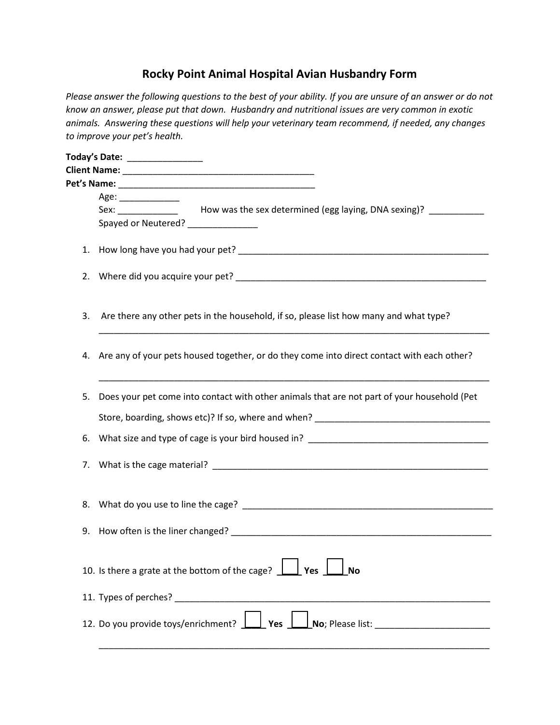## **Rocky Point Animal Hospital Avian Husbandry Form**

*Please answer the following questions to the best of your ability. If you are unsure of an answer or do not know an answer, please put that down. Husbandry and nutritional issues are very common in exotic animals. Answering these questions will help your veterinary team recommend, if needed, any changes to improve your pet's health.* 

|    | Today's Date: ________________                                                                                                                                                                                                 |
|----|--------------------------------------------------------------------------------------------------------------------------------------------------------------------------------------------------------------------------------|
|    |                                                                                                                                                                                                                                |
|    |                                                                                                                                                                                                                                |
|    | Age:                                                                                                                                                                                                                           |
|    | Sex: _______________ How was the sex determined (egg laying, DNA sexing)? ___________                                                                                                                                          |
|    | Spayed or Neutered? _______________                                                                                                                                                                                            |
|    |                                                                                                                                                                                                                                |
|    |                                                                                                                                                                                                                                |
| 3. | Are there any other pets in the household, if so, please list how many and what type?                                                                                                                                          |
|    | 4. Are any of your pets housed together, or do they come into direct contact with each other?                                                                                                                                  |
| 5. | Does your pet come into contact with other animals that are not part of your household (Pet                                                                                                                                    |
|    | Store, boarding, shows etc)? If so, where and when? Letter and the state of the state of the state of the state of the state of the state of the state of the state of the state of the state of the state of the state of the |
| 6. | What size and type of cage is your bird housed in? ______________________________                                                                                                                                              |
| 7. |                                                                                                                                                                                                                                |
|    |                                                                                                                                                                                                                                |
|    |                                                                                                                                                                                                                                |
|    | 10. Is there a grate at the bottom of the cage? $\boxed{\underline{\hspace{1cm}}\phantom{1}}$ Yes $\boxed{\phantom{1}}$ No                                                                                                     |
|    |                                                                                                                                                                                                                                |
|    |                                                                                                                                                                                                                                |

\_\_\_\_\_\_\_\_\_\_\_\_\_\_\_\_\_\_\_\_\_\_\_\_\_\_\_\_\_\_\_\_\_\_\_\_\_\_\_\_\_\_\_\_\_\_\_\_\_\_\_\_\_\_\_\_\_\_\_\_\_\_\_\_\_\_\_\_\_\_\_\_\_\_\_\_\_\_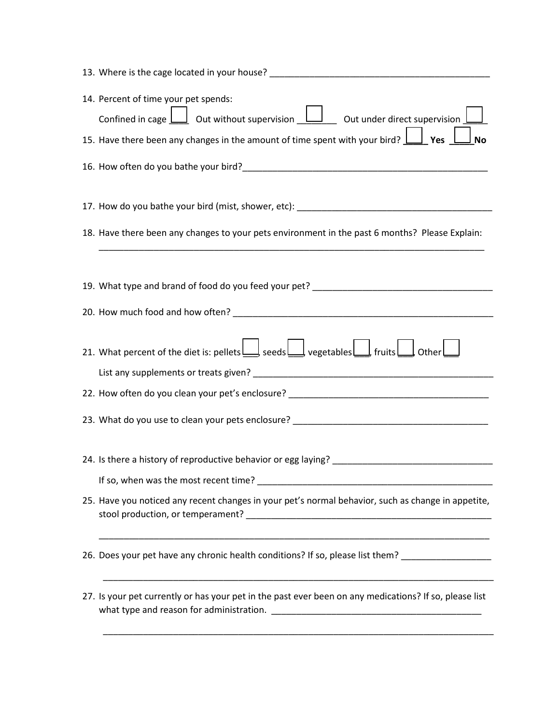| 13. Where is the cage located in your house?<br><u> 1989 - Johann Barbara, martxa eta batarra (h. 1989).</u>                    |
|---------------------------------------------------------------------------------------------------------------------------------|
| 14. Percent of time your pet spends:                                                                                            |
| Confined in cage $\bigsqcup$ Out without supervision $\bigsqcup$ Out under direct supervision $\bigsqcup$                       |
| 15. Have there been any changes in the amount of time spent with your bird? $\boxed{\underline{\hspace{1cm}}}$ Yes<br><b>No</b> |
|                                                                                                                                 |
| 17. How do you bathe your bird (mist, shower, etc): _____________________________                                               |
| 18. Have there been any changes to your pets environment in the past 6 months? Please Explain:                                  |
|                                                                                                                                 |
|                                                                                                                                 |
|                                                                                                                                 |
|                                                                                                                                 |
| 21. What percent of the diet is: pellets   seeds   vegetables   fruits   other                                                  |
|                                                                                                                                 |
|                                                                                                                                 |
| 23. What do you use to clean your pets enclosure? _______________________________                                               |
|                                                                                                                                 |
| 24. Is there a history of reproductive behavior or egg laying?                                                                  |
|                                                                                                                                 |
| 25. Have you noticed any recent changes in your pet's normal behavior, such as change in appetite,                              |
|                                                                                                                                 |
| 26. Does your pet have any chronic health conditions? If so, please list them? ____________________                             |
| 27. Is your pet currently or has your pet in the past ever been on any medications? If so, please list                          |